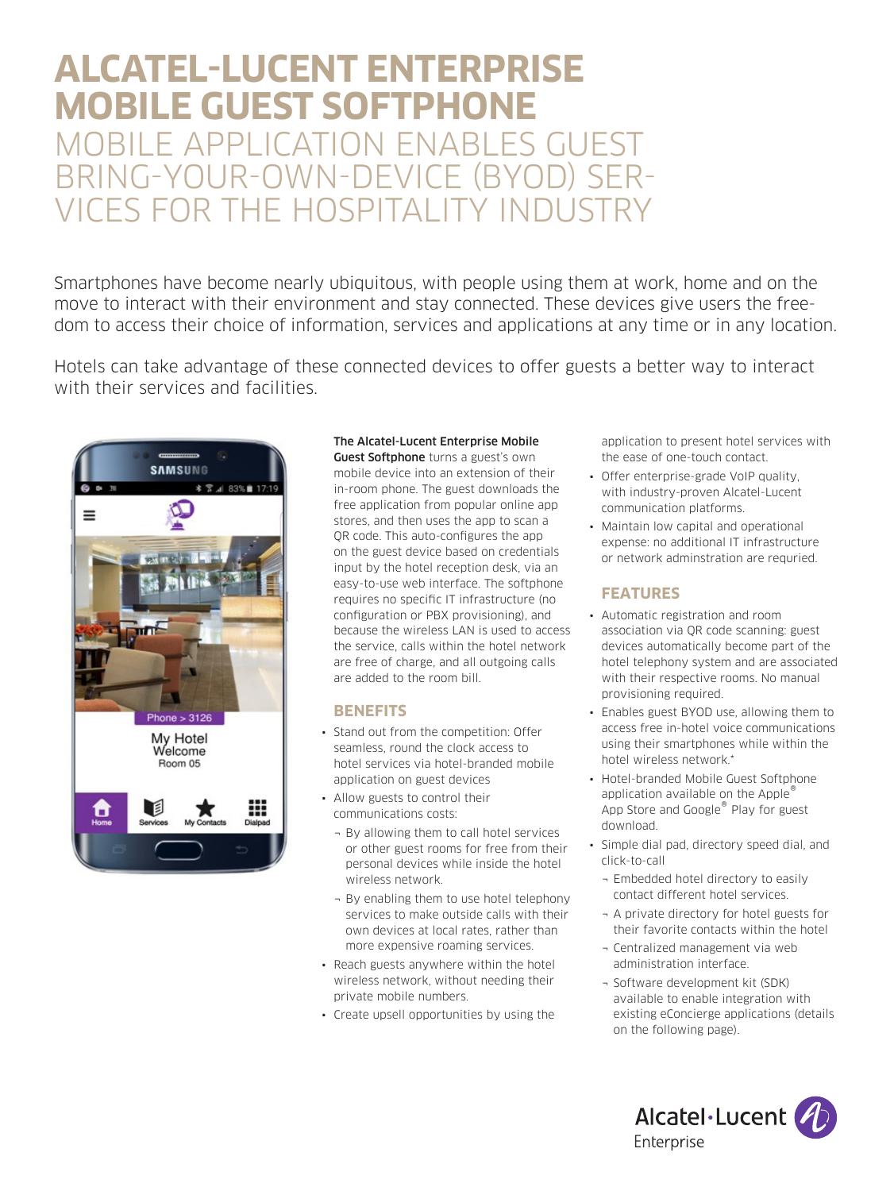# **ALCATEL-LUCENT ENTERPRISE MOBILE GUEST SOFTPHONE**  MOBILE APPLICATION ENABLES GUEST BRING-YOUR-OWN-DEVICE (BYOD) SER-VICES FOR THE HOSPITALITY INDUSTRY

Smartphones have become nearly ubiquitous, with people using them at work, home and on the move to interact with their environment and stay connected. These devices give users the freedom to access their choice of information, services and applications at any time or in any location.

Hotels can take advantage of these connected devices to offer guests a better way to interact with their services and facilities.



# The Alcatel-Lucent Enterprise Mobile

Guest Softphone turns a guest's own mobile device into an extension of their in-room phone. The guest downloads the free application from popular online app stores, and then uses the app to scan a QR code. This auto-configures the app on the guest device based on credentials input by the hotel reception desk, via an easy-to-use web interface. The softphone requires no specific IT infrastructure (no configuration or PBX provisioning), and because the wireless LAN is used to access the service, calls within the hotel network are free of charge, and all outgoing calls are added to the room bill.

# **BENEFITS**

- Stand out from the competition: Offer seamless, round the clock access to hotel services via hotel-branded mobile application on guest devices
- Allow guests to control their communications costs:
	- ¬ By allowing them to call hotel services or other guest rooms for free from their personal devices while inside the hotel wireless network.
	- ¬ By enabling them to use hotel telephony services to make outside calls with their own devices at local rates, rather than more expensive roaming services.
- Reach guests anywhere within the hotel wireless network, without needing their private mobile numbers.
- Create upsell opportunities by using the

application to present hotel services with the ease of one-touch contact.

- Offer enterprise-grade VoIP quality, with industry-proven Alcatel-Lucent communication platforms.
- Maintain low capital and operational expense: no additional IT infrastructure or network adminstration are requried.

# **FEATURES**

- Automatic registration and room association via QR code scanning: guest devices automatically become part of the hotel telephony system and are associated with their respective rooms. No manual provisioning required.
- Enables guest BYOD use, allowing them to access free in-hotel voice communications using their smartphones while within the hotel wireless network.\*
- Hotel-branded Mobile Guest Softphone application available on the Apple® App Store and Google<sup>®</sup> Play for guest download.
- Simple dial pad, directory speed dial, and click-to-call
	- ¬ Embedded hotel directory to easily contact different hotel services.
	- ¬ A private directory for hotel guests for their favorite contacts within the hotel
	- ¬ Centralized management via web administration interface.
	- ¬ Software development kit (SDK) available to enable integration with existing eConcierge applications (details on the following page).